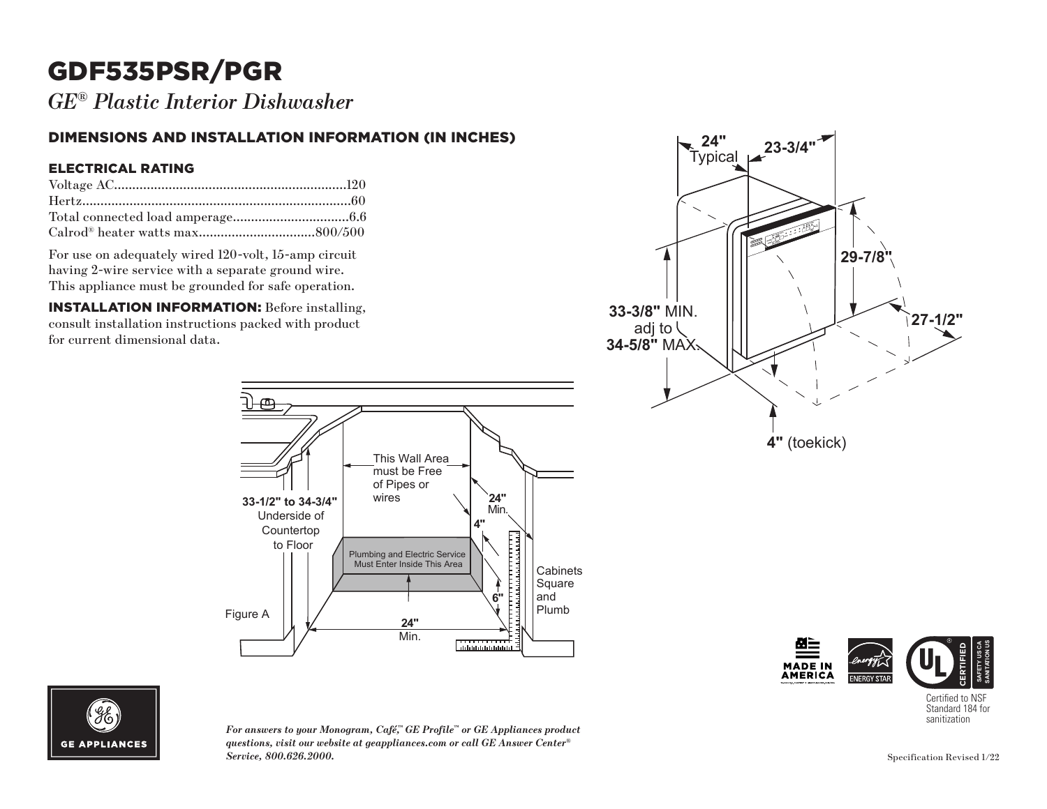# GDF535PSR/PGR

*GE® Plastic Interior Dishwasher*

### DIMENSIONS AND INSTALLATION INFORMATION (IN INCHES)

#### ELECTRICAL RATING

For use on adequately wired 120-volt, 15-amp circuit having 2-wire service with a separate ground wire. This appliance must be grounded for safe operation.

INSTALLATION INFORMATION: Before installing, consult installation instructions packed with product for current dimensional data.









*For answers to your Monogram, Café,™ GE Profile™ or GE Appliances product questions, visit our website at geappliances.com or call GE Answer Center® Service, 800.626.2000.*

Certified to NSF Standard 184 for<br>sanitization